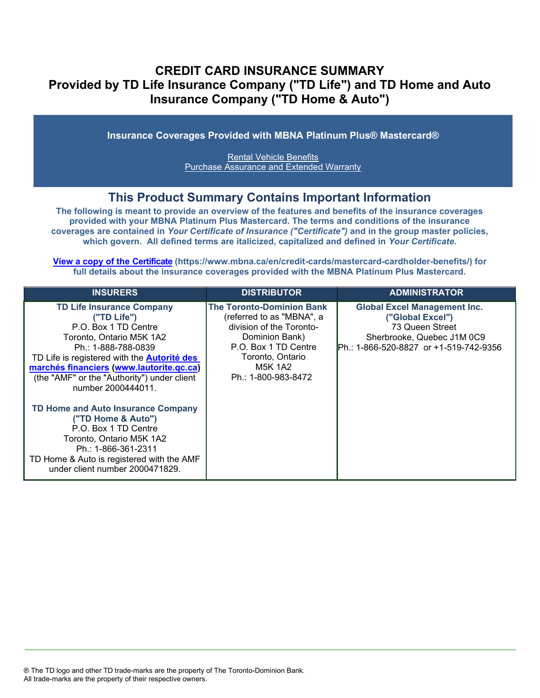# **CREDIT CARD INSURANCE SUMMARY Provided by TD Life Insurance Company ("TD Life") and TD Home and Auto Insurance Company ("TD Home & Auto")**

**Insurance Coverages Provided with MBNA Platinum Plus® Mastercard®**

[Rental Vehicle Benefits](#page-3-0) [Purchase Assurance and Extended Warranty](#page-5-0)

## **This Product Summary Contains Important Information**

**The following is meant to provide an overview of the features and benefits of the insurance coverages provided with your MBNA Platinum Plus Mastercard. The terms and conditions of the insurance coverages are contained in** *Your Certificate of Insurance ("Certificate")* **and in the group master policies, which govern. All defined terms are italiciz[ed, capitalized and defined in](https://www.mbna.ca/en/credit-cards/mastercard-cardholder-benefits/)** *Your Certificate***.**

**[View a copy of the Certificate](https://www.mbna.ca/en/credit-cards/mastercard-cardholder-benefits/) (https://www.mbna.ca/en/credit-cards/mastercard-cardholder-benefits/) for full details about the insurance coverages provided with the MBNA Platinum Plus Mastercard.** 

| <b>INSURERS</b>                                                                                                                                                                                                                                                                                                                         | <b>DISTRIBUTOR</b>                                                                                                                                                                        | <b>ADMINISTRATOR</b>                                                                                                                                |
|-----------------------------------------------------------------------------------------------------------------------------------------------------------------------------------------------------------------------------------------------------------------------------------------------------------------------------------------|-------------------------------------------------------------------------------------------------------------------------------------------------------------------------------------------|-----------------------------------------------------------------------------------------------------------------------------------------------------|
| <b>TD Life Insurance Company</b><br>("TD Life")<br>P.O. Box 1 TD Centre<br>Toronto, Ontario M5K 1A2<br>Ph.: 1-888-788-0839<br>TD Life is registered with the <b>Autorité des</b><br>marchés financiers (www.lautorite.qc.ca)<br>(the "AMF" or the "Authority") under client<br>number 2000444011.<br>TD Home and Auto Insurance Company | <b>The Toronto-Dominion Bank</b><br>(referred to as "MBNA", a<br>division of the Toronto-<br>Dominion Bank)<br>P.O. Box 1 TD Centre<br>Toronto, Ontario<br>M5K 1A2<br>Ph.: 1-800-983-8472 | <b>Global Excel Management Inc.</b><br>("Global Excel")<br>73 Queen Street<br>Sherbrooke, Quebec J1M 0C9<br>IPh.: 1-866-520-8827 or +1-519-742-9356 |
| ("TD Home & Auto")<br>P.O. Box 1 TD Centre<br>Toronto, Ontario M5K 1A2<br>Ph.: 1-866-361-2311<br>TD Home & Auto is registered with the AMF<br>under client number 2000471829.                                                                                                                                                           |                                                                                                                                                                                           |                                                                                                                                                     |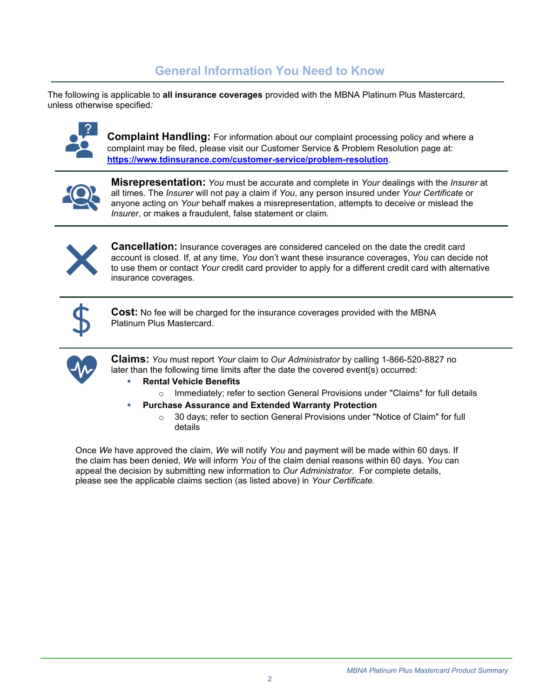# **General Information You Need to Know**

The following is applicable to **all insurance coverages** provided with the MBNA Platinum Plus Mastercard, unless otherwise specified*:*



**Complaint Handling:** For information about our complaint processing policy and where a complaint may be filed, please visit our Customer Service & Problem Resolution page at: **<https://www.tdinsurance.com/customer-service/problem-resolution>**.



**Misrepresentation:** *You* must be accurate and complete in *Your* dealings with the *Insurer* at all times. The *Insurer* will not pay a claim if *You*, any person insured under *Your Certificate* or anyone acting on *Your* behalf makes a misrepresentation, attempts to deceive or mislead the *Insurer*, or makes a fraudulent, false statement or claim.



**Cancellation:** Insurance coverages are considered canceled on the date the credit card account is closed. If, at any time, *You* don't want these insurance coverages, *You* can decide not to use them or contact *Your* credit card provider to apply for a different credit card with alternative insurance coverages.



**Cost:** No fee will be charged for the insurance coverages provided with the MBNA Platinum Plus Mastercard.



**Claims:** *You* must report *Your* claim to *Our Administrator* by calling 1-866-520-8827 no later than the following time limits after the date the covered event(s) occurred:

- **Rental Vehicle Benefits** 
	- $\circ$  Immediately; refer to section General Provisions under "Claims" for full details
- **Purchase Assurance and Extended Warranty Protection**
	- o 30 days; refer to section General Provisions under "Notice of Claim" for full details

Once *We* have approved the claim, *We* will notify *You* and payment will be made within 60 days. If the claim has been denied, *We* will inform *You* of the claim denial reasons within 60 days. *You* can appeal the decision by submitting new information to *Our Administrator*. For complete details, please see the applicable claims section (as listed above) in *Your Certificate.*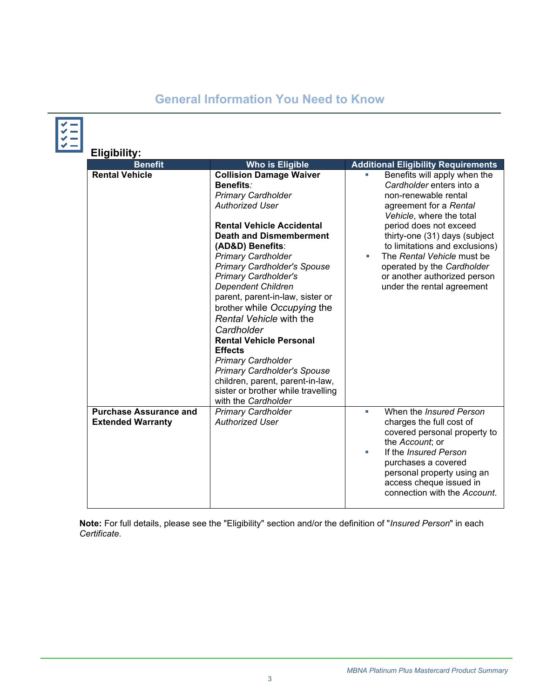# **General Information You Need to Know**

| Eligibility:<br><b>Benefit</b>                            | <b>Who is Eligible</b>                                                                                                                                                                                                                                                                                                                                                                                                                                                                                                                                                                                                                                          | <b>Additional Eligibility Requirements</b>                                                                                                                                                                                                                                                                                                                          |
|-----------------------------------------------------------|-----------------------------------------------------------------------------------------------------------------------------------------------------------------------------------------------------------------------------------------------------------------------------------------------------------------------------------------------------------------------------------------------------------------------------------------------------------------------------------------------------------------------------------------------------------------------------------------------------------------------------------------------------------------|---------------------------------------------------------------------------------------------------------------------------------------------------------------------------------------------------------------------------------------------------------------------------------------------------------------------------------------------------------------------|
| <b>Rental Vehicle</b>                                     | <b>Collision Damage Waiver</b><br>Benefits:<br><b>Primary Cardholder</b><br><b>Authorized User</b><br><b>Rental Vehicle Accidental</b><br><b>Death and Dismemberment</b><br>(AD&D) Benefits:<br><b>Primary Cardholder</b><br><b>Primary Cardholder's Spouse</b><br><b>Primary Cardholder's</b><br><b>Dependent Children</b><br>parent, parent-in-law, sister or<br>brother while Occupying the<br>Rental Vehicle with the<br>Cardholder<br><b>Rental Vehicle Personal</b><br><b>Effects</b><br><b>Primary Cardholder</b><br><b>Primary Cardholder's Spouse</b><br>children, parent, parent-in-law,<br>sister or brother while travelling<br>with the Cardholder | Benefits will apply when the<br>Cardholder enters into a<br>non-renewable rental<br>agreement for a Rental<br>Vehicle, where the total<br>period does not exceed<br>thirty-one (31) days (subject<br>to limitations and exclusions)<br>The Rental Vehicle must be<br>a.<br>operated by the Cardholder<br>or another authorized person<br>under the rental agreement |
| <b>Purchase Assurance and</b><br><b>Extended Warranty</b> | <b>Primary Cardholder</b><br><b>Authorized User</b>                                                                                                                                                                                                                                                                                                                                                                                                                                                                                                                                                                                                             | When the <i>Insured Person</i><br>ш<br>charges the full cost of<br>covered personal property to<br>the Account; or<br>If the <i>Insured Person</i><br>purchases a covered<br>personal property using an<br>access cheque issued in<br>connection with the Account.                                                                                                  |

**Note:** For full details, please see the "Eligibility" section and/or the definition of "*Insured Person*" in each *Certificate*.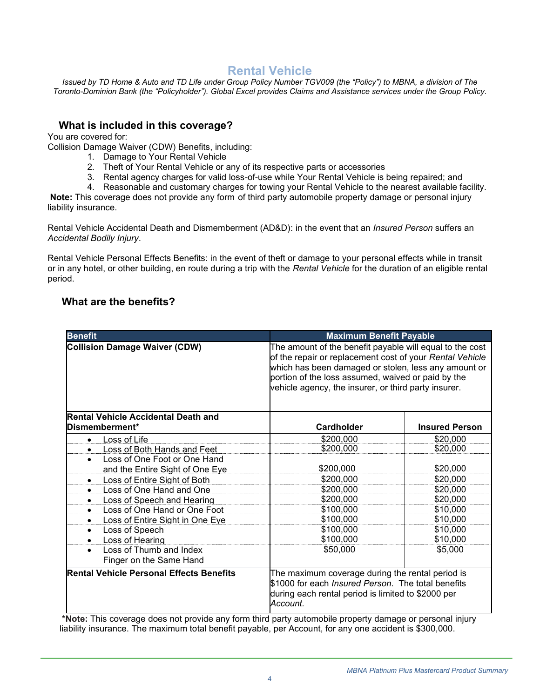# **Rental Vehicle**

<span id="page-3-0"></span>*Issued by TD Home & Auto and TD Life under Group Policy Number TGV009 (the "Policy") to MBNA, a division of The Toronto-Dominion Bank (the "Policyholder"). Global Excel provides Claims and Assistance services under the Group Policy.*

## **What is included in this coverage?**

You are covered for:

Collision Damage Waiver (CDW) Benefits, including:

- 1. Damage to Your Rental Vehicle
- 2. Theft of Your Rental Vehicle or any of its respective parts or accessories
- 3. Rental agency charges for valid loss-of-use while Your Rental Vehicle is being repaired; and
- 4. Reasonable and customary charges for towing your Rental Vehicle to the nearest available facility.

**Note:** This coverage does not provide any form of third party automobile property damage or personal injury liability insurance.

Rental Vehicle Accidental Death and Dismemberment (AD&D): in the event that an *Insured Person* suffers an *Accidental Bodily Injury*.

Rental Vehicle Personal Effects Benefits: in the event of theft or damage to your personal effects while in transit or in any hotel, or other building, en route during a trip with the *Rental Vehicle* for the duration of an eligible rental period.

### **What are the benefits?**

| <b>Benefit</b>                                               | <b>Maximum Benefit Payable</b>                                                                                                                                                                                                                                                             |                       |
|--------------------------------------------------------------|--------------------------------------------------------------------------------------------------------------------------------------------------------------------------------------------------------------------------------------------------------------------------------------------|-----------------------|
| <b>Collision Damage Waiver (CDW)</b>                         | The amount of the benefit payable will equal to the cost<br>of the repair or replacement cost of your Rental Vehicle<br>which has been damaged or stolen, less any amount or<br>portion of the loss assumed, waived or paid by the<br>vehicle agency, the insurer, or third party insurer. |                       |
| <b>Rental Vehicle Accidental Death and</b><br>Dismemberment* | Cardholder                                                                                                                                                                                                                                                                                 | <b>Insured Person</b> |
| <b>Loss of Life</b><br>$\bullet$                             | \$200,000                                                                                                                                                                                                                                                                                  | \$20,000              |
| Loss of Both Hands and Feet                                  | \$200,000                                                                                                                                                                                                                                                                                  | \$20,000              |
| Loss of One Foot or One Hand<br>$\bullet$                    |                                                                                                                                                                                                                                                                                            |                       |
| and the Entire Sight of One Eye                              | \$200,000                                                                                                                                                                                                                                                                                  | \$20,000              |
| Loss of Entire Sight of Both                                 | \$200,000                                                                                                                                                                                                                                                                                  | \$20,000              |
| Loss of One Hand and One<br>$\bullet$                        | \$200,000                                                                                                                                                                                                                                                                                  | \$20,000              |
| <b>Loss of Speech and Hearing</b>                            | \$200,000                                                                                                                                                                                                                                                                                  | \$20,000              |
| Loss of One Hand or One Foot<br>$\bullet$                    | \$100,000                                                                                                                                                                                                                                                                                  | \$10,000              |
| Loss of Entire Sight in One Eye<br>$\bullet$                 | \$100,000                                                                                                                                                                                                                                                                                  | \$10,000              |
| Loss of Speech                                               | \$100,000                                                                                                                                                                                                                                                                                  | \$10,000              |
| Loss of Hearing                                              | \$100,000                                                                                                                                                                                                                                                                                  | \$10,000              |
| Loss of Thumb and Index<br>$\bullet$                         | \$50,000                                                                                                                                                                                                                                                                                   | \$5,000               |
| Finger on the Same Hand                                      |                                                                                                                                                                                                                                                                                            |                       |
| <b>Rental Vehicle Personal Effects Benefits</b>              | The maximum coverage during the rental period is<br>\$1000 for each <i>Insured Person</i> . The total benefits<br>during each rental period is limited to \$2000 per<br>Account.                                                                                                           |                       |

**\*Note:** This coverage does not provide any form third party automobile property damage or personal injury liability insurance. The maximum total benefit payable, per Account, for any one accident is \$300,000.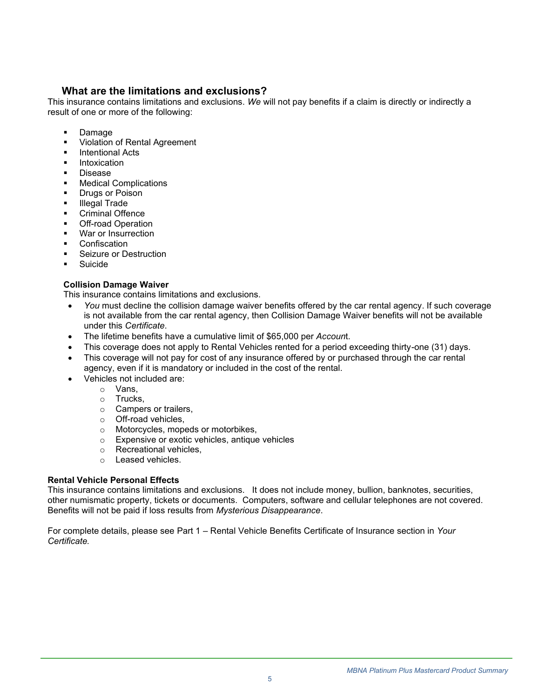## **What are the limitations and exclusions?**

This insurance contains limitations and exclusions. *We* will not pay benefits if a claim is directly or indirectly a result of one or more of the following:

- Damage
- Violation of Rental Agreement
- **Intentional Acts**
- **Intoxication**
- **Disease**
- Medical Complications
- **Drugs or Poison**
- **Illegal Trade**
- Criminal Offence
- **Off-road Operation**
- War or Insurrection
- **Confiscation**
- Seizure or Destruction
- **Suicide**

#### **Collision Damage Waiver**

This insurance contains limitations and exclusions.

- *You* must decline the collision damage waiver benefits offered by the car rental agency. If such coverage is not available from the car rental agency, then Collision Damage Waiver benefits will not be available under this *Certificate*.
- The lifetime benefits have a cumulative limit of \$65,000 per *Accoun*t.
- This coverage does not apply to Rental Vehicles rented for a period exceeding thirty-one (31) days.
- This coverage will not pay for cost of any insurance offered by or purchased through the car rental agency, even if it is mandatory or included in the cost of the rental.
- Vehicles not included are:
	- o Vans,
	- o Trucks,
	- o Campers or trailers,
	- o Off-road vehicles,
	- o Motorcycles, mopeds or motorbikes,
	- o Expensive or exotic vehicles, antique vehicles
	- o Recreational vehicles,
	- o Leased vehicles.

#### **Rental Vehicle Personal Effects**

This insurance contains limitations and exclusions. It does not include money, bullion, banknotes, securities, other numismatic property, tickets or documents. Computers, software and cellular telephones are not covered. Benefits will not be paid if loss results from *Mysterious Disappearance*.

For complete details, please see Part 1 – Rental Vehicle Benefits Certificate of Insurance section in *Your Certificate.*